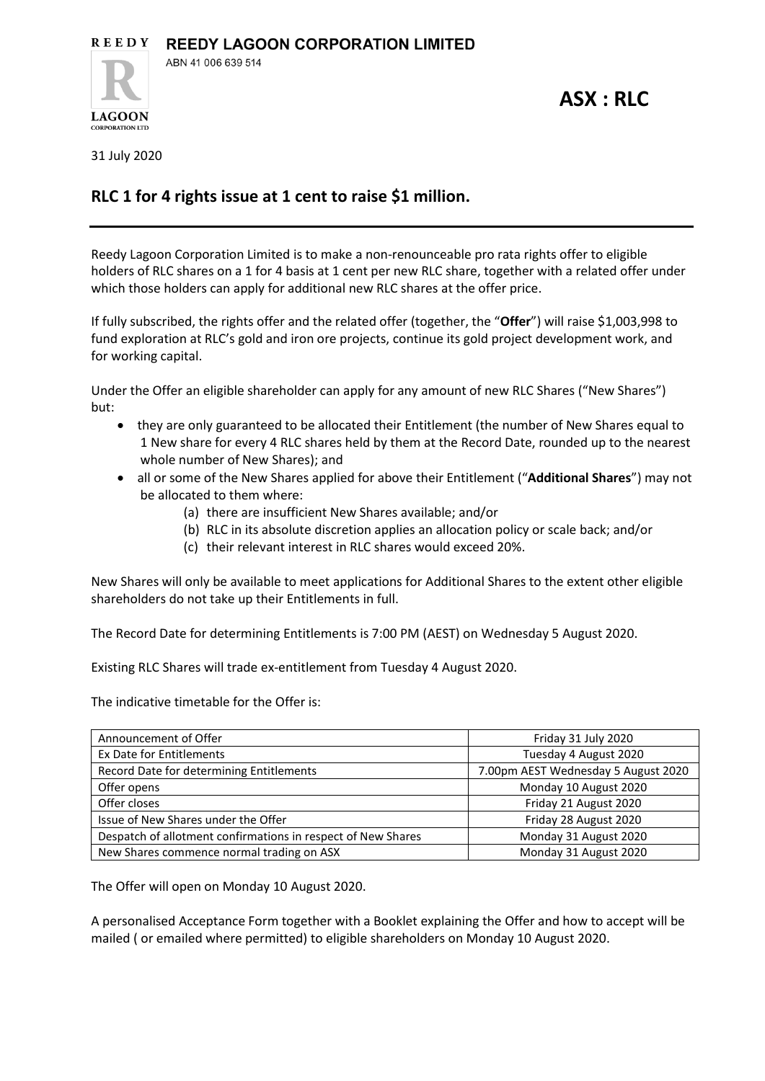**ASX : RLC**

31 July 2020

**LAGOON CORPORATION LTD** 

## **RLC 1 for 4 rights issue at 1 cent to raise \$1 million.**

Reedy Lagoon Corporation Limited is to make a non-renounceable pro rata rights offer to eligible holders of RLC shares on a 1 for 4 basis at 1 cent per new RLC share, together with a related offer under which those holders can apply for additional new RLC shares at the offer price.

If fully subscribed, the rights offer and the related offer (together, the "**Offer**") will raise \$1,003,998 to fund exploration at RLC's gold and iron ore projects, continue its gold project development work, and for working capital.

Under the Offer an eligible shareholder can apply for any amount of new RLC Shares ("New Shares") but:

- they are only guaranteed to be allocated their Entitlement (the number of New Shares equal to 1 New share for every 4 RLC shares held by them at the Record Date, rounded up to the nearest whole number of New Shares); and
- all or some of the New Shares applied for above their Entitlement ("**Additional Shares**") may not be allocated to them where:
	- (a) there are insufficient New Shares available; and/or
	- (b) RLC in its absolute discretion applies an allocation policy or scale back; and/or
	- (c) their relevant interest in RLC shares would exceed 20%.

New Shares will only be available to meet applications for Additional Shares to the extent other eligible shareholders do not take up their Entitlements in full.

The Record Date for determining Entitlements is 7:00 PM (AEST) on Wednesday 5 August 2020.

Existing RLC Shares will trade ex-entitlement from Tuesday 4 August 2020.

The indicative timetable for the Offer is:

| Announcement of Offer                                        | Friday 31 July 2020                 |
|--------------------------------------------------------------|-------------------------------------|
| Ex Date for Entitlements                                     | Tuesday 4 August 2020               |
| Record Date for determining Entitlements                     | 7.00pm AEST Wednesday 5 August 2020 |
| Offer opens                                                  | Monday 10 August 2020               |
| Offer closes                                                 | Friday 21 August 2020               |
| Issue of New Shares under the Offer                          | Friday 28 August 2020               |
| Despatch of allotment confirmations in respect of New Shares | Monday 31 August 2020               |
| New Shares commence normal trading on ASX                    | Monday 31 August 2020               |

The Offer will open on Monday 10 August 2020.

A personalised Acceptance Form together with a Booklet explaining the Offer and how to accept will be mailed ( or emailed where permitted) to eligible shareholders on Monday 10 August 2020.